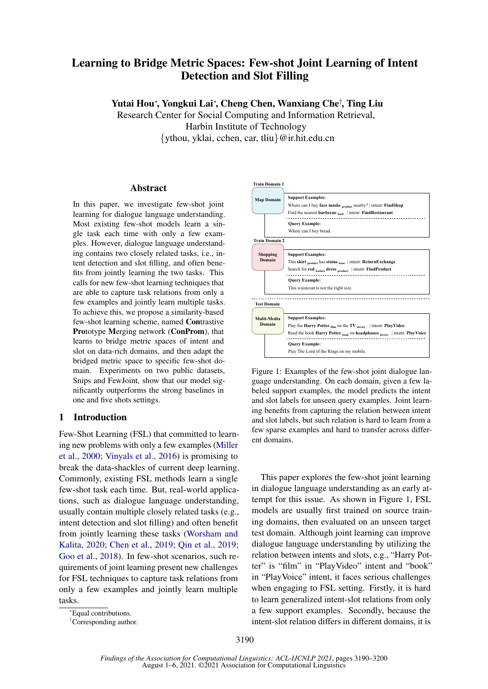# Learning to Bridge Metric Spaces: Few-shot Joint Learning of Intent Detection and Slot Filling

Yutai Hou<sup>∗</sup> , Yongkui Lai<sup>∗</sup> , Cheng Chen, Wanxiang Che† , Ting Liu

Research Center for Social Computing and Information Retrieval, Harbin Institute of Technology {ythou, yklai, cchen, car, tliu}@ir.hit.edu.cn

## Abstract

In this paper, we investigate few-shot joint learning for dialogue language understanding. Most existing few-shot models learn a single task each time with only a few examples. However, dialogue language understanding contains two closely related tasks, i.e., intent detection and slot filling, and often benefits from jointly learning the two tasks. This calls for new few-shot learning techniques that are able to capture task relations from only a few examples and jointly learn multiple tasks. To achieve this, we propose a similarity-based few-shot learning scheme, named Contrastive Prototype Merging network (ConProm), that learns to bridge metric spaces of intent and slot on data-rich domains, and then adapt the bridged metric space to specific few-shot domain. Experiments on two public datasets, Snips and FewJoint, show that our model significantly outperforms the strong baselines in one and five shots settings.

# 1 Introduction

Few-Shot Learning (FSL) that committed to learning new problems with only a few examples [\(Miller](#page-9-0) [et al.,](#page-9-0) [2000;](#page-9-0) [Vinyals et al.,](#page-9-1) [2016\)](#page-9-1) is promising to break the data-shackles of current deep learning. Commonly, existing FSL methods learn a single few-shot task each time. But, real-world applications, such as dialogue language understanding, usually contain multiple closely related tasks (e.g., intent detection and slot filling) and often benefit from jointly learning these tasks [\(Worsham and](#page-9-2) [Kalita,](#page-9-2) [2020;](#page-9-2) [Chen et al.,](#page-8-0) [2019;](#page-8-0) [Qin et al.,](#page-9-3) [2019;](#page-9-3) [Goo et al.,](#page-8-1) [2018\)](#page-8-1). In few-shot scenarios, such requirements of joint learning present new challenges for FSL techniques to capture task relations from only a few examples and jointly learn multiple tasks.

<span id="page-0-0"></span>

Figure 1: Examples of the few-shot joint dialogue language understanding. On each domain, given a few labeled support examples, the model predicts the intent and slot labels for unseen query examples. Joint learning benefits from capturing the relation between intent and slot labels, but such relation is hard to learn from a few sparse examples and hard to transfer across different domains.

This paper explores the few-shot joint learning in dialogue language understanding as an early attempt for this issue. As shown in Figure [1,](#page-0-0) FSL models are usually first trained on source training domains, then evaluated on an unseen target test domain. Although joint learning can improve dialogue language understanding by utilizing the relation between intents and slots, e.g., "Harry Potter" is "film" in "PlayVideo" intent and "book" in "PlayVoice" intent, it faces serious challenges when engaging to FSL setting. Firstly, it is hard to learn generalized intent-slot relations from only a few support examples. Secondly, because the intent-slot relation differs in different domains, it is

<sup>\*</sup>Equal contributions.

<sup>†</sup>Corresponding author.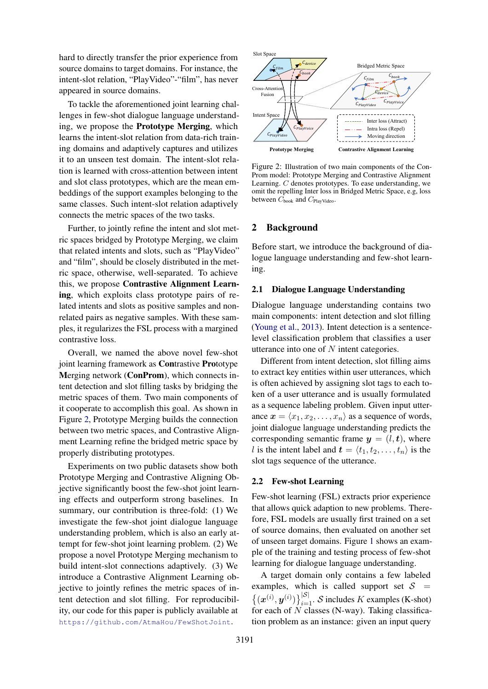hard to directly transfer the prior experience from source domains to target domains. For instance, the intent-slot relation, "PlayVideo"-"film", has never appeared in source domains.

To tackle the aforementioned joint learning challenges in few-shot dialogue language understanding, we propose the Prototype Merging, which learns the intent-slot relation from data-rich training domains and adaptively captures and utilizes it to an unseen test domain. The intent-slot relation is learned with cross-attention between intent and slot class prototypes, which are the mean embeddings of the support examples belonging to the same classes. Such intent-slot relation adaptively connects the metric spaces of the two tasks.

Further, to jointly refine the intent and slot metric spaces bridged by Prototype Merging, we claim that related intents and slots, such as "PlayVideo" and "film", should be closely distributed in the metric space, otherwise, well-separated. To achieve this, we propose Contrastive Alignment Learning, which exploits class prototype pairs of related intents and slots as positive samples and nonrelated pairs as negative samples. With these samples, it regularizes the FSL process with a margined contrastive loss.

Overall, we named the above novel few-shot joint learning framework as Contrastive Prototype Merging network (ConProm), which connects intent detection and slot filling tasks by bridging the metric spaces of them. Two main components of it cooperate to accomplish this goal. As shown in Figure [2,](#page-1-0) Prototype Merging builds the connection between two metric spaces, and Contrastive Alignment Learning refine the bridged metric space by properly distributing prototypes.

Experiments on two public datasets show both Prototype Merging and Contrastive Aligning Objective significantly boost the few-shot joint learning effects and outperform strong baselines. In summary, our contribution is three-fold: (1) We investigate the few-shot joint dialogue language understanding problem, which is also an early attempt for few-shot joint learning problem. (2) We propose a novel Prototype Merging mechanism to build intent-slot connections adaptively. (3) We introduce a Contrastive Alignment Learning objective to jointly refines the metric spaces of intent detection and slot filling. For reproducibility, our code for this paper is publicly available at <https://github.com/AtmaHou/FewShotJoint>.

<span id="page-1-0"></span>

Figure 2: Illustration of two main components of the Con-Prom model: Prototype Merging and Contrastive Alignment Learning. C denotes prototypes. To ease understanding, we omit the repelling Inter loss in Bridged Metric Space, e.g, loss between  $C_{\rm book}$  and  $C_{\rm PlayVideo}.$ 

# 2 Background

Before start, we introduce the background of dialogue language understanding and few-shot learning.

# 2.1 Dialogue Language Understanding

level classification problem that classifies a user utterance into one of  $N$  intent categories. Dialogue language understanding contains two main components: intent detection and slot filling [\(Young et al.,](#page-10-0) [2013\)](#page-10-0). Intent detection is a sentence-

Different from intent detection, slot filling aims to extract key entities within user utterances, which is often achieved by assigning slot tags to each token of a user utterance and is usually formulated as a sequence labeling problem. Given input utterance  $\mathbf{x} = \langle x_1, x_2, \dots, x_n \rangle$  as a sequence of words, joint dialogue language understanding predicts the corresponding semantic frame  $y = (l, t)$ , where l is the intent label and  $\mathbf{t} = \langle t_1, t_2, \dots, t_n \rangle$  is the slot tags sequence of the utterance.

#### <span id="page-1-1"></span>2.2 Few-shot Learning

Few-shot learning (FSL) extracts prior experience that allows quick adaption to new problems. Therefore, FSL models are usually first trained on a set of source domains, then evaluated on another set of unseen target domains. Figure [1](#page-0-0) shows an example of the training and testing process of few-shot learning for dialogue language understanding.

A target domain only contains a few labeled examples, which is called support set  $S =$  $\{(x^{(i)}, y^{(i)})\}_{i=1}^{|S|}$ . S includes K examples (K-shot) for each of  $N$  classes (N-way). Taking classification problem as an instance: given an input query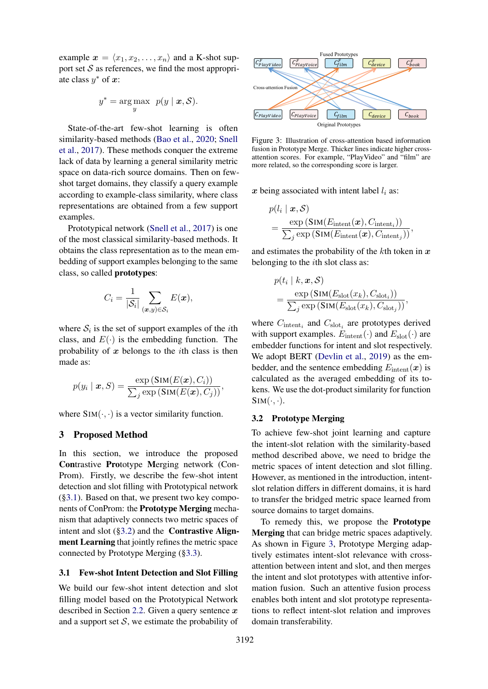example  $x = \langle x_1, x_2, \ldots, x_n \rangle$  and a K-shot support set  $S$  as references, we find the most appropriate class  $y^*$  of  $x$ :

$$
y^* = \arg\max_{y} \ p(y \mid \bm{x}, \mathcal{S}).
$$

State-of-the-art few-shot learning is often similarity-based methods [\(Bao et al.,](#page-8-2) [2020;](#page-8-2) [Snell](#page-9-4) [et al.,](#page-9-4) [2017\)](#page-9-4). These methods conquer the extreme lack of data by learning a general similarity metric space on data-rich source domains. Then on fewshot target domains, they classify a query example according to example-class similarity, where class representations are obtained from a few support examples.

Prototypical network [\(Snell et al.,](#page-9-4) [2017\)](#page-9-4) is one of the most classical similarity-based methods. It obtains the class representation as to the mean embedding of support examples belonging to the same class, so called prototypes:

$$
C_i = \frac{1}{|\mathcal{S}_i|} \sum_{(\boldsymbol{x},y) \in \mathcal{S}_i} E(\boldsymbol{x}),
$$

where  $S_i$  is the set of support examples of the *i*th class, and  $E(\cdot)$  is the embedding function. The probability of  $x$  belongs to the *i*th class is then made as:

$$
p(y_i | \mathbf{x}, S) = \frac{\exp(\text{Sim}(E(\mathbf{x}), C_i))}{\sum_j \exp(\text{Sim}(E(\mathbf{x}), C_j))},
$$

where  $\text{SIM}(\cdot, \cdot)$  is a vector similarity function.

## 3 Proposed Method

In this section, we introduce the proposed Contrastive Prototype Merging network (Con-Prom). Firstly, we describe the few-shot intent detection and slot filling with Prototypical network ([§3.1\)](#page-2-0). Based on that, we present two key components of ConProm: the Prototype Merging mechanism that adaptively connects two metric spaces of intent and slot  $(\S3.2)$  and the **Contrastive Align**ment Learning that jointly refines the metric space connected by Prototype Merging ([§3.3\)](#page-3-0).

#### <span id="page-2-0"></span>3.1 Few-shot Intent Detection and Slot Filling

We build our few-shot intent detection and slot filling model based on the Prototypical Network described in Section [2.2.](#page-1-1) Given a query sentence  $x$ and a support set  $S$ , we estimate the probability of

<span id="page-2-2"></span>

Figure 3: Illustration of cross-attention based information fusion in Prototype Merge. Thicker lines indicate higher crossattention scores. For example, "PlayVideo" and "film" are more related, so the corresponding score is larger.

x being associated with intent label  $l_i$  as:

$$
p(l_i | \mathbf{x}, \mathcal{S})
$$
  
= 
$$
\frac{\exp(\text{SIM}(E_{\text{intent}}(\mathbf{x}), C_{\text{intent}_i}))}{\sum_j \exp(\text{SIM}(E_{\text{intent}}(\mathbf{x}), C_{\text{intent}_j}))},
$$

and estimates the probability of the  $k$ th token in  $x$ belonging to the ith slot class as:

$$
p(t_i | k, \mathbf{x}, \mathcal{S})
$$
  
= 
$$
\frac{\exp(\text{SIM}(E_{\text{slot}}(x_k), C_{\text{slot}_i}))}{\sum_j \exp(\text{SIM}(E_{\text{slot}}(x_k), C_{\text{slot}_j}))},
$$

where  $C_{\text{intent}_i}$  and  $C_{\text{slot}_i}$  are prototypes derived with support examples.  $E_{\text{intent}}(\cdot)$  and  $E_{\text{slot}}(\cdot)$  are embedder functions for intent and slot respectively. We adopt BERT [\(Devlin et al.,](#page-8-3) [2019\)](#page-8-3) as the embedder, and the sentence embedding  $E_{\text{intent}}(x)$  is calculated as the averaged embedding of its tokens. We use the dot-product similarity for function  $Sim(\cdot, \cdot)$ .

### <span id="page-2-1"></span>3.2 Prototype Merging

To achieve few-shot joint learning and capture the intent-slot relation with the similarity-based method described above, we need to bridge the metric spaces of intent detection and slot filling. However, as mentioned in the introduction, intentslot relation differs in different domains, it is hard to transfer the bridged metric space learned from source domains to target domains.

To remedy this, we propose the Prototype Merging that can bridge metric spaces adaptively. As shown in Figure [3,](#page-2-2) Prototype Merging adaptively estimates intent-slot relevance with crossattention between intent and slot, and then merges the intent and slot prototypes with attentive information fusion. Such an attentive fusion process enables both intent and slot prototype representations to reflect intent-slot relation and improves domain transferability.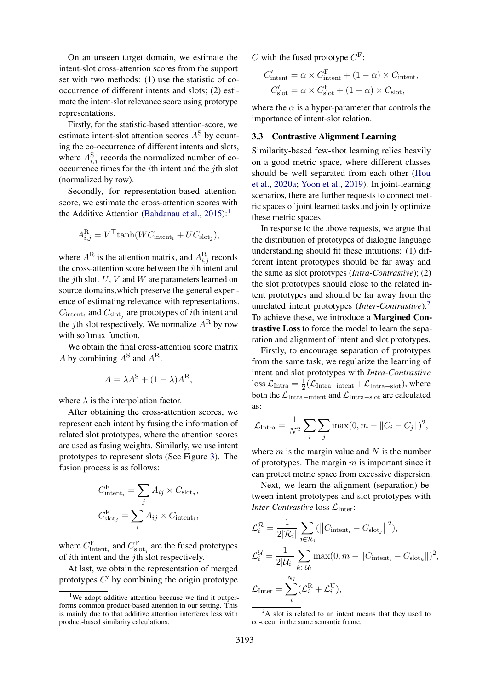On an unseen target domain, we estimate the intent-slot cross-attention scores from the support set with two methods: (1) use the statistic of cooccurrence of different intents and slots; (2) estimate the intent-slot relevance score using prototype representations.

Firstly, for the statistic-based attention-score, we estimate intent-slot attention scores  $A<sup>S</sup>$  by counting the co-occurrence of different intents and slots, where  $A_{i,j}^{\rm S}$  records the normalized number of cooccurrence times for the ith intent and the jth slot (normalized by row).

Secondly, for representation-based attentionscore, we estimate the cross-attention scores with the Additive Attention [\(Bahdanau et al.,](#page-8-4)  $2015$  $2015$  $2015$ ):<sup>1</sup>

$$
A_{i,j}^{\rm R} = V^{\top} \tanh(W C_{\text{intent}_i} + U C_{\text{slot}_j}),
$$

where  $A^R$  is the attention matrix, and  $A_{i,j}^R$  records the cross-attention score between the ith intent and the *j*th slot.  $U, V$  and  $W$  are parameters learned on source domains,which preserve the general experience of estimating relevance with representations.  $C_{\text{intent}_i}$  and  $C_{\text{slot}_j}$  are prototypes of *i*th intent and the *j*th slot respectively. We normalize  $A^R$  by row with softmax function.

We obtain the final cross-attention score matrix A by combining  $A^S$  and  $A^R$ .

$$
A = \lambda A^{\rm S} + (1 - \lambda)A^{\rm R},
$$

where  $\lambda$  is the interpolation factor.

After obtaining the cross-attention scores, we represent each intent by fusing the information of related slot prototypes, where the attention scores are used as fusing weights. Similarly, we use intent prototypes to represent slots (See Figure [3\)](#page-2-2). The fusion process is as follows:

$$
C_{\text{intent}_i}^{\text{F}} = \sum_j A_{ij} \times C_{\text{slot}_j},
$$
  

$$
C_{\text{slot}_j}^{\text{F}} = \sum_i A_{ij} \times C_{\text{intent}_i},
$$

where  $C_{\text{intent}_i}^{\text{F}}$  and  $C_{\text{slot}_j}^{\text{F}}$  are the fused prototypes of ith intent and the jth slot respectively.

At last, we obtain the representation of merged prototypes  $C'$  by combining the origin prototype

C with the fused prototype  $C^F$ :

$$
C'_{\text{intent}} = \alpha \times C_{\text{intent}}^{F} + (1 - \alpha) \times C_{\text{intent}},
$$
  

$$
C'_{\text{slot}} = \alpha \times C_{\text{slot}}^{F} + (1 - \alpha) \times C_{\text{slot}},
$$

where the  $\alpha$  is a hyper-parameter that controls the importance of intent-slot relation.

#### <span id="page-3-0"></span>3.3 Contrastive Alignment Learning

Similarity-based few-shot learning relies heavily on a good metric space, where different classes should be well separated from each other [\(Hou](#page-8-5) [et al.,](#page-8-5) [2020a;](#page-8-5) [Yoon et al.,](#page-10-1) [2019\)](#page-10-1). In joint-learning scenarios, there are further requests to connect metric spaces of joint learned tasks and jointly optimize these metric spaces.

In response to the above requests, we argue that the distribution of prototypes of dialogue language understanding should fit these intuitions: (1) different intent prototypes should be far away and the same as slot prototypes (*Intra-Contrastive*); (2) the slot prototypes should close to the related intent prototypes and should be far away from the unrelated intent prototypes (*Inter-Contrastive*).[2](#page-3-2) To achieve these, we introduce a Margined Contrastive Loss to force the model to learn the separation and alignment of intent and slot prototypes.

Firstly, to encourage separation of prototypes from the same task, we regularize the learning of intent and slot prototypes with *Intra-Contrastive* loss  $\mathcal{L}_{\text{Intra}} = \frac{1}{2}$  $\frac{1}{2}(\mathcal{L}_{\text{Intra-intent}} + \mathcal{L}_{\text{Intra-slot}})$ , where both the  $\mathcal{L}_{\text{Intra-intent}}$  and  $\mathcal{L}_{\text{Intra-slot}}$  are calculated as:

$$
\mathcal{L}_{\text{Intra}} = \frac{1}{N^2} \sum_{i} \sum_{j} \max(0, m - ||C_i - C_j||)^2,
$$

where  $m$  is the margin value and  $N$  is the number of prototypes. The margin  $m$  is important since it can protect metric space from excessive dispersion.

Next, we learn the alignment (separation) between intent prototypes and slot prototypes with *Inter-Contrastive* loss  $\mathcal{L}_{\text{Inter}}$ :

$$
\mathcal{L}_i^{\mathcal{R}} = \frac{1}{2|\mathcal{R}_i|} \sum_{j \in \mathcal{R}_i} (\left\| C_{\text{intent}_i} - C_{\text{slot}_j} \right\|^2),
$$
  

$$
\mathcal{L}_i^{\mathcal{U}} = \frac{1}{2|\mathcal{U}_i|} \sum_{k \in \mathcal{U}_i} \max(0, m - \| C_{\text{intent}_i} - C_{\text{slot}_k} \|)^2,
$$
  

$$
\mathcal{L}_{\text{Inter}} = \sum_i^{N_I} (\mathcal{L}_i^{\text{R}} + \mathcal{L}_i^{\text{U}}),
$$

<span id="page-3-1"></span><sup>&</sup>lt;sup>1</sup>We adopt additive attention because we find it outperforms common product-based attention in our setting. This is mainly due to that additive attention interferes less with product-based similarity calculations.

<span id="page-3-2"></span> ${}^{2}$ A slot is related to an intent means that they used to co-occur in the same semantic frame.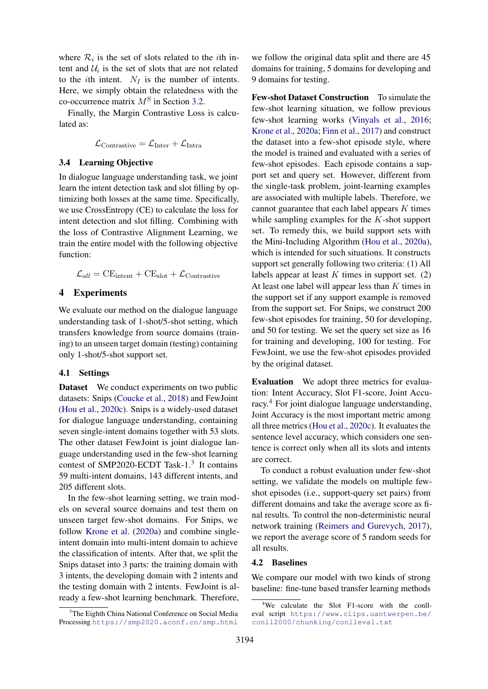where  $\mathcal{R}_i$  is the set of slots related to the *i*th intent and  $\mathcal{U}_i$  is the set of slots that are not related to the *i*th intent.  $N_I$  is the number of intents. Here, we simply obtain the relatedness with the co-occurrence matrix  $M<sup>S</sup>$  in Section [3.2.](#page-2-1)

Finally, the Margin Contrastive Loss is calculated as:

$$
\mathcal{L}_{\text{Contrastive}} = \mathcal{L}_{\text{Inter}} + \mathcal{L}_{\text{Intra}}
$$

### 3.4 Learning Objective

In dialogue language understanding task, we joint learn the intent detection task and slot filling by optimizing both losses at the same time. Specifically, we use CrossEntropy (CE) to calculate the loss for intent detection and slot filling. Combining with the loss of Contrastive Alignment Learning, we train the entire model with the following objective function:

$$
\mathcal{L}_{all} = \mathrm{CE}_{\mathrm{intent}} + \mathrm{CE}_{\mathrm{slot}} + \mathcal{L}_{\mathrm{Contrastive}}
$$

# 4 Experiments

We evaluate our method on the dialogue language understanding task of 1-shot/5-shot setting, which transfers knowledge from source domains (training) to an unseen target domain (testing) containing only 1-shot/5-shot support set.

# 4.1 Settings

Dataset We conduct experiments on two public datasets: Snips [\(Coucke et al.,](#page-8-6) [2018\)](#page-8-6) and FewJoint [\(Hou et al.,](#page-8-7) [2020c\)](#page-8-7). Snips is a widely-used dataset for dialogue language understanding, containing seven single-intent domains together with 53 slots. The other dataset FewJoint is joint dialogue language understanding used in the few-shot learning contest of SMP2020-ECDT Task-1.<sup>[3](#page-4-0)</sup> It contains 59 multi-intent domains, 143 different intents, and 205 different slots.

In the few-shot learning setting, we train models on several source domains and test them on unseen target few-shot domains. For Snips, we follow [Krone et al.](#page-9-5) [\(2020a\)](#page-9-5) and combine singleintent domain into multi-intent domain to achieve the classification of intents. After that, we split the Snips dataset into 3 parts: the training domain with 3 intents, the developing domain with 2 intents and the testing domain with 2 intents. FewJoint is already a few-shot learning benchmark. Therefore, we follow the original data split and there are 45 domains for training, 5 domains for developing and 9 domains for testing.

Few-shot Dataset Construction To simulate the few-shot learning situation, we follow previous few-shot learning works [\(Vinyals et al.,](#page-9-1) [2016;](#page-9-1) [Krone et al.,](#page-9-5) [2020a;](#page-9-5) [Finn et al.,](#page-8-8) [2017\)](#page-8-8) and construct the dataset into a few-shot episode style, where the model is trained and evaluated with a series of few-shot episodes. Each episode contains a support set and query set. However, different from the single-task problem, joint-learning examples are associated with multiple labels. Therefore, we cannot guarantee that each label appears  $K$  times while sampling examples for the  $K$ -shot support set. To remedy this, we build support sets with the Mini-Including Algorithm [\(Hou et al.,](#page-8-5) [2020a\)](#page-8-5), which is intended for such situations. It constructs support set generally following two criteria: (1) All labels appear at least K times in support set.  $(2)$ At least one label will appear less than  $K$  times in the support set if any support example is removed from the support set. For Snips, we construct 200 few-shot episodes for training, 50 for developing, and 50 for testing. We set the query set size as 16 for training and developing, 100 for testing. For FewJoint, we use the few-shot episodes provided by the original dataset.

Evaluation We adopt three metrics for evaluation: Intent Accuracy, Slot F1-score, Joint Accu-racy.<sup>[4](#page-4-1)</sup> For joint dialogue language understanding, Joint Accuracy is the most important metric among all three metrics [\(Hou et al.,](#page-8-7) [2020c\)](#page-8-7). It evaluates the sentence level accuracy, which considers one sentence is correct only when all its slots and intents are correct.

To conduct a robust evaluation under few-shot setting, we validate the models on multiple fewshot episodes (i.e., support-query set pairs) from different domains and take the average score as final results. To control the non-deterministic neural network training [\(Reimers and Gurevych,](#page-9-6) [2017\)](#page-9-6), we report the average score of 5 random seeds for all results.

### 4.2 Baselines

We compare our model with two kinds of strong baseline: fine-tune based transfer learning methods

<span id="page-4-0"></span><sup>&</sup>lt;sup>3</sup>The Eighth China National Conference on Social Media Processing <https://smp2020.aconf.cn/smp.html>

<span id="page-4-1"></span><sup>4</sup>We calculate the Slot F1-score with the conlleval script [https://www.clips.uantwerpen.be/](https://www.clips.uantwerpen.be/conll2000/chunking/conlleval.txt) [conll2000/chunking/conlleval.txt](https://www.clips.uantwerpen.be/conll2000/chunking/conlleval.txt)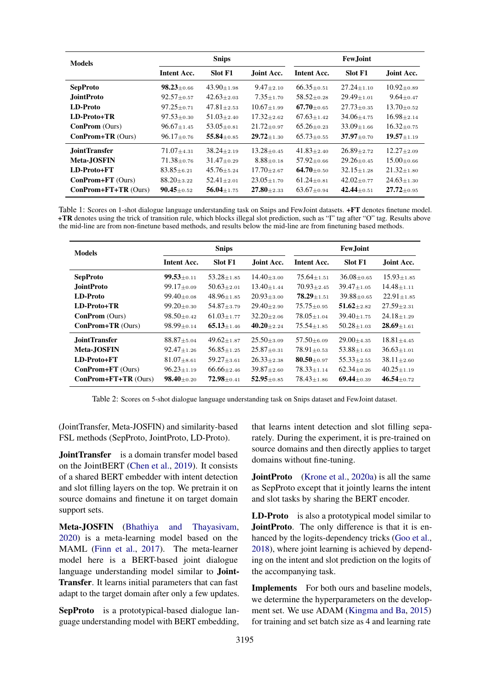<span id="page-5-0"></span>

| <b>Models</b>              | <b>Snips</b>       |                  |                  | <b>Few.Joint</b>   |                  |                  |
|----------------------------|--------------------|------------------|------------------|--------------------|------------------|------------------|
|                            | <b>Intent Acc.</b> | <b>Slot F1</b>   | Joint Acc.       | <b>Intent Acc.</b> | <b>Slot F1</b>   | Joint Acc.       |
| <b>SepProto</b>            | $98.23 \pm 0.66$   | $43.90 \pm 1.98$ | $9.47 \pm 2.10$  | $66.35 + 0.51$     | $27.24 \pm 1.10$ | $10.92 \pm 0.89$ |
| <b>JointProto</b>          | $92.57 \pm 0.57$   | $42.63 \pm 2.03$ | $7.35 \pm 1.70$  | $58.52 + 0.28$     | $29.49 + 1.01$   | $9.64 \pm 0.47$  |
| LD-Proto                   | $97.25 \pm 0.71$   | $47.81 \pm 2.53$ | $10.67 + 1.99$   | $67.70 + 0.65$     | $27.73 \pm 0.35$ | $13.70 + 0.52$   |
| LD-Proto+TR                | $97.53 \pm 0.30$   | $51.03 \pm 2.40$ | $17.32 \pm 2.62$ | $67.63 + 1.42$     | $34.06 \pm 4.75$ | $16.98 \pm 2.14$ |
| <b>ConProm</b> (Ours)      | $96.67 \pm 1.45$   | $53.05 + 0.81$   | $21.72 + 0.97$   | $65.26 + 0.23$     | $33.09 + 1.66$   | $16.32 + 0.75$   |
| $ConFrom + TR (Ours)$      | $96.17 \pm 0.76$   | $55.84 \pm 0.85$ | $29.72 + 1.30$   | $65.73 + 0.55$     | $37.97 + 0.70$   | $19.57 \pm 1.19$ |
| <b>JointTransfer</b>       | $71.07 \pm 4.31$   | $38.24 + 2.19$   | $13.28 \pm 0.45$ | $41.83 + 2.40$     | $26.89 \pm 2.72$ | $12.27 + 2.09$   |
| <b>Meta-JOSFIN</b>         | $71.38 \pm 0.76$   | $31.47 \pm 0.29$ | $8.88 + 0.18$    | $57.92 + 0.66$     | $29.26 \pm 0.45$ | $15.00 \pm 0.66$ |
| LD-Proto+FT                | $83.85 \pm 6.21$   | $45.76 + 5.24$   | $17.70 \pm 2.67$ | 64.70 $\pm$ 0.50   | $32.15 \pm 1.28$ | $21.32 \pm 1.80$ |
| ConProm+FT (Ours)          | $88.20 \pm 3.22$   | $52.41 \pm 2.01$ | $23.05 \pm 1.70$ | $61.24 + 0.81$     | $42.02 \pm 0.77$ | $24.63 \pm 1.30$ |
| $ConFrom + FT + TR (Ours)$ | $90.45 \pm 0.52$   | $56.04 \pm 1.75$ | $27.80 + 2.33$   | $63.67 \pm 0.94$   | $42.44 \pm 0.51$ | $27.72 \pm 0.95$ |

Table 1: Scores on 1-shot dialogue language understanding task on Snips and FewJoint datasets. +FT denotes finetune model. +TR denotes using the trick of transition rule, which blocks illegal slot prediction, such as "I" tag after "O" tag. Results above the mid-line are from non-finetune based methods, and results below the mid-line are from finetuning based methods.

<span id="page-5-1"></span>

| <b>Models</b>              | <b>Snips</b>                   |                |                  | <b>Few</b> Joint   |                  |                  |
|----------------------------|--------------------------------|----------------|------------------|--------------------|------------------|------------------|
|                            | <b>Intent Acc.</b>             | Slot F1        | Joint Acc.       | <b>Intent Acc.</b> | Slot F1          | Joint Acc.       |
| <b>SepProto</b>            | $99.53 \scriptstyle{\pm 0.11}$ | $53.28 + 1.85$ | $14.40 + 3.00$   | $75.64 + 1.51$     | $36.08 + 0.65$   | $15.93 \pm 1.85$ |
| <b>JointProto</b>          | $99.17 \pm 0.09$               | $50.63 + 2.01$ | $13.40 + 1.44$   | $70.93 + 2.45$     | $39.47 + 1.05$   | $14.48 + 1.11$   |
| LD-Proto                   | $99.40 + 0.08$                 | $48.96 + 1.85$ | $20.93 + 3.00$   | $78.29 + 1.51$     | $39.88 + 0.65$   | $22.91 \pm 1.85$ |
| LD-Proto+TR                | $99.20 + 0.30$                 | $54.87 + 3.79$ | $29.40 \pm 2.90$ | $75.75 + 0.95$     | $51.62 + 2.82$   | $27.59 + 2.31$   |
| <b>ConProm</b> (Ours)      | $98.50 + 0.42$                 | $61.03 + 1.77$ | $32.20 + 2.06$   | $78.05 + 1.04$     | $39.40 + 1.75$   | $24.18 + 1.29$   |
| ConProm+TR (Ours)          | $98.99 \pm 0.14$               | $65.13 + 1.46$ | $40.20 \pm 2.24$ | $75.54 + 1.85$     | $50.28 + 1.03$   | $28.69 \pm 1.61$ |
| <b>JointTransfer</b>       | $88.87 + 5.04$                 | $49.62 + 1.87$ | $25.50 + 3.09$   | $57.50 + 6.09$     | $29.00 + 4.35$   | $18.81 + 4.45$   |
| <b>Meta-JOSFIN</b>         | $92.47 + 1.26$                 | $56.85 + 1.25$ | $25.87 + 0.31$   | $78.91 + 0.53$     | $53.88 + 1.63$   | $36.63 + 1.01$   |
| LD-Proto+FT                | $81.07 + 8.61$                 | $59.27 + 3.61$ | $26.33 + 2.38$   | $80.50 + 0.97$     | $55.33 + 2.55$   | $38.11 + 2.60$   |
| ConProm+FT (Ours)          | $96.23 + 1.19$                 | $66.66 + 2.46$ | $39.87 + 2.60$   | $78.33 + 1.14$     | $62.34 + 0.26$   | $40.25 + 1.19$   |
| $ConFrom + FT + TR (Ours)$ | $98.40 + 0.20$                 | $72.98 + 0.41$ | $52.95 \pm 0.85$ | $78.43 + 1.86$     | 69.44 $\pm$ 0.39 | $46.54 \pm 0.72$ |

Table 2: Scores on 5-shot dialogue language understanding task on Snips dataset and FewJoint dataset.

(JointTransfer, Meta-JOSFIN) and similarity-based FSL methods (SepProto, JointProto, LD-Proto).

JointTransfer is a domain transfer model based on the JointBERT [\(Chen et al.,](#page-8-0) [2019\)](#page-8-0). It consists of a shared BERT embedder with intent detection and slot filling layers on the top. We pretrain it on source domains and finetune it on target domain support sets.

Meta-JOSFIN [\(Bhathiya and Thayasivam,](#page-8-9) [2020\)](#page-8-9) is a meta-learning model based on the MAML [\(Finn et al.,](#page-8-8) [2017\)](#page-8-8). The meta-learner model here is a BERT-based joint dialogue language understanding model similar to **Joint-**Transfer. It learns initial parameters that can fast adapt to the target domain after only a few updates.

SepProto is a prototypical-based dialogue language understanding model with BERT embedding,

that learns intent detection and slot filling separately. During the experiment, it is pre-trained on source domains and then directly applies to target domains without fine-tuning.

**JointProto** [\(Krone et al.,](#page-9-5) [2020a\)](#page-9-5) is all the same as SepProto except that it jointly learns the intent and slot tasks by sharing the BERT encoder.

LD-Proto is also a prototypical model similar to JointProto. The only difference is that it is enhanced by the logits-dependency tricks [\(Goo et al.,](#page-8-1) [2018\)](#page-8-1), where joint learning is achieved by depending on the intent and slot prediction on the logits of the accompanying task.

Implements For both ours and baseline models, we determine the hyperparameters on the development set. We use ADAM [\(Kingma and Ba,](#page-9-7) [2015\)](#page-9-7) for training and set batch size as 4 and learning rate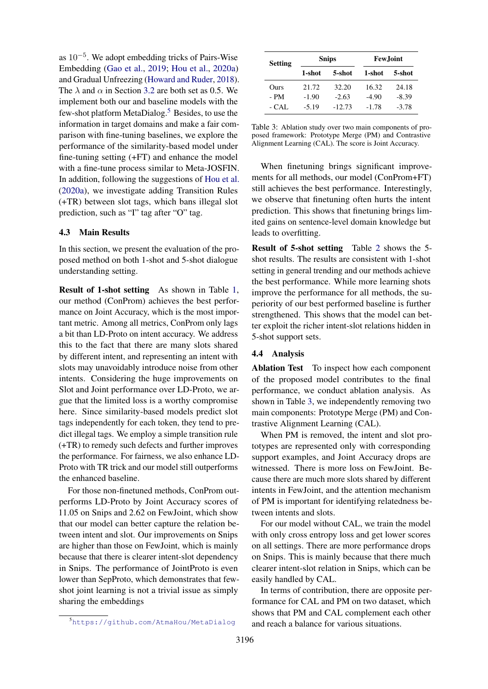as  $10^{-5}$ . We adopt embedding tricks of Pairs-Wise Embedding [\(Gao et al.,](#page-8-10) [2019;](#page-8-10) [Hou et al.,](#page-8-5) [2020a\)](#page-8-5) and Gradual Unfreezing [\(Howard and Ruder,](#page-9-8) [2018\)](#page-9-8). The  $\lambda$  and  $\alpha$  in Section [3.2](#page-2-1) are both set as 0.5. We implement both our and baseline models with the few-shot platform MetaDialog.[5](#page-6-0) Besides, to use the information in target domains and make a fair comparison with fine-tuning baselines, we explore the performance of the similarity-based model under fine-tuning setting (+FT) and enhance the model with a fine-tune process similar to Meta-JOSFIN. In addition, following the suggestions of [Hou et al.](#page-8-5) [\(2020a\)](#page-8-5), we investigate adding Transition Rules (+TR) between slot tags, which bans illegal slot prediction, such as "I" tag after "O" tag.

## 4.3 Main Results

In this section, we present the evaluation of the proposed method on both 1-shot and 5-shot dialogue understanding setting.

Result of 1-shot setting As shown in Table [1,](#page-5-0) our method (ConProm) achieves the best performance on Joint Accuracy, which is the most important metric. Among all metrics, ConProm only lags a bit than LD-Proto on intent accuracy. We address this to the fact that there are many slots shared by different intent, and representing an intent with slots may unavoidably introduce noise from other intents. Considering the huge improvements on Slot and Joint performance over LD-Proto, we argue that the limited loss is a worthy compromise here. Since similarity-based models predict slot tags independently for each token, they tend to predict illegal tags. We employ a simple transition rule (+TR) to remedy such defects and further improves the performance. For fairness, we also enhance LD-Proto with TR trick and our model still outperforms the enhanced baseline.

For those non-finetuned methods, ConProm outperforms LD-Proto by Joint Accuracy scores of 11.05 on Snips and 2.62 on FewJoint, which show that our model can better capture the relation between intent and slot. Our improvements on Snips are higher than those on FewJoint, which is mainly because that there is clearer intent-slot dependency in Snips. The performance of JointProto is even lower than SepProto, which demonstrates that fewshot joint learning is not a trivial issue as simply sharing the embeddings

<span id="page-6-0"></span>

|  | https://github.com/AtmaHou/MetaDialog |
|--|---------------------------------------|
|--|---------------------------------------|

<span id="page-6-1"></span>

| <b>Setting</b> |         | <b>Snips</b> | <b>Few</b> Joint |         |  |
|----------------|---------|--------------|------------------|---------|--|
|                | 1-shot  | 5-shot       | 1-shot           | 5-shot  |  |
| Ours           | 21.72   | 32.20        | 16.32            | 24.18   |  |
| - PM           | $-1.90$ | $-2.63$      | $-4.90$          | $-8.39$ |  |
| $-CAI.$        | $-5.19$ | $-12.73$     | $-1.78$          | $-3.78$ |  |

Table 3: Ablation study over two main components of proposed framework: Prototype Merge (PM) and Contrastive Alignment Learning (CAL). The score is Joint Accuracy.

When finetuning brings significant improvements for all methods, our model (ConProm+FT) still achieves the best performance. Interestingly, we observe that finetuning often hurts the intent prediction. This shows that finetuning brings limited gains on sentence-level domain knowledge but leads to overfitting.

Result of 5-shot setting Table [2](#page-5-1) shows the 5 shot results. The results are consistent with 1-shot setting in general trending and our methods achieve the best performance. While more learning shots improve the performance for all methods, the superiority of our best performed baseline is further strengthened. This shows that the model can better exploit the richer intent-slot relations hidden in 5-shot support sets.

#### 4.4 Analysis

Ablation Test To inspect how each component of the proposed model contributes to the final performance, we conduct ablation analysis. As shown in Table [3,](#page-6-1) we independently removing two main components: Prototype Merge (PM) and Contrastive Alignment Learning (CAL).

When PM is removed, the intent and slot prototypes are represented only with corresponding support examples, and Joint Accuracy drops are witnessed. There is more loss on FewJoint. Because there are much more slots shared by different intents in FewJoint, and the attention mechanism of PM is important for identifying relatedness between intents and slots.

For our model without CAL, we train the model with only cross entropy loss and get lower scores on all settings. There are more performance drops on Snips. This is mainly because that there much clearer intent-slot relation in Snips, which can be easily handled by CAL.

In terms of contribution, there are opposite performance for CAL and PM on two dataset, which shows that PM and CAL complement each other and reach a balance for various situations.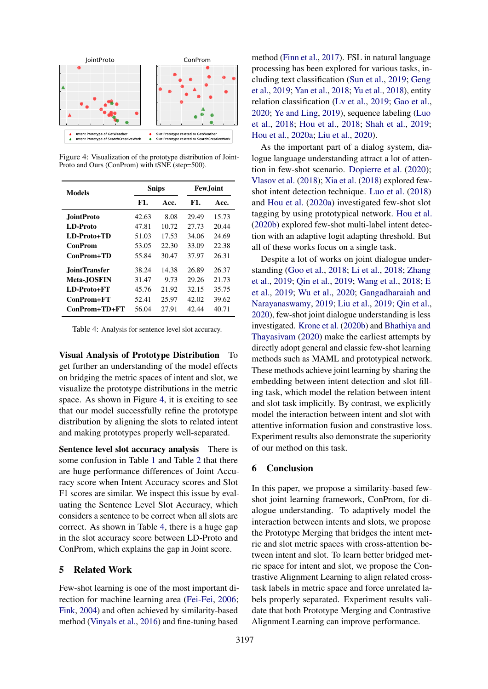<span id="page-7-0"></span>

Figure 4: Visualization of the prototype distribution of Joint-Proto and Ours (ConProm) with tSNE (step=500).

<span id="page-7-1"></span>

| Models               |       | <b>Snips</b> | <b>Few.Joint</b> |       |  |
|----------------------|-------|--------------|------------------|-------|--|
|                      | F1.   | Acc.         | F1.              | Acc.  |  |
| <b>JointProto</b>    | 42.63 | 8.08         | 29.49            | 15.73 |  |
| LD-Proto             | 47.81 | 10.72        | 27.73            | 20.44 |  |
| LD-Proto+TD          | 51.03 | 17.53        | 34.06            | 24.69 |  |
| <b>ConProm</b>       | 53.05 | 22.30        | 33.09            | 22.38 |  |
| ConProm+TD           | 55.84 | 30.47        | 37.97            | 26.31 |  |
| <b>JointTransfer</b> | 38.24 | 14.38        | 26.89            | 26.37 |  |
| <b>Meta-JOSFIN</b>   | 31.47 | 9.73         | 29.26            | 21.73 |  |
| LD-Proto+FT          | 45.76 | 21.92        | 32.15            | 35.75 |  |
| $ConFrom + FT$       | 52.41 | 25.97        | 42.02            | 39.62 |  |
| ConProm+TD+FT        | 56.04 | 27.91        | 42.44            | 40.71 |  |

Table 4: Analysis for sentence level slot accuracy.

Visual Analysis of Prototype Distribution To get further an understanding of the model effects on bridging the metric spaces of intent and slot, we visualize the prototype distributions in the metric space. As shown in Figure [4,](#page-7-0) it is exciting to see that our model successfully refine the prototype distribution by aligning the slots to related intent and making prototypes properly well-separated.

Sentence level slot accuracy analysis There is some confusion in Table [1](#page-5-0) and Table [2](#page-5-1) that there are huge performance differences of Joint Accuracy score when Intent Accuracy scores and Slot F1 scores are similar. We inspect this issue by evaluating the Sentence Level Slot Accuracy, which considers a sentence to be correct when all slots are correct. As shown in Table [4,](#page-7-1) there is a huge gap in the slot accuracy score between LD-Proto and ConProm, which explains the gap in Joint score.

# 5 Related Work

Few-shot learning is one of the most important direction for machine learning area [\(Fei-Fei,](#page-8-11) [2006;](#page-8-11) [Fink,](#page-8-12) [2004\)](#page-8-12) and often achieved by similarity-based method [\(Vinyals et al.,](#page-9-1) [2016\)](#page-9-1) and fine-tuning based

method [\(Finn et al.,](#page-8-8) [2017\)](#page-8-8). FSL in natural language processing has been explored for various tasks, including text classification [\(Sun et al.,](#page-9-9) [2019;](#page-9-9) [Geng](#page-8-13) [et al.,](#page-8-13) [2019;](#page-8-13) [Yan et al.,](#page-10-2) [2018;](#page-10-2) [Yu et al.,](#page-10-3) [2018\)](#page-10-3), entity relation classification [\(Lv et al.,](#page-9-10) [2019;](#page-9-10) [Gao et al.,](#page-8-14) [2020;](#page-8-14) [Ye and Ling,](#page-10-4) [2019\)](#page-10-4), sequence labeling [\(Luo](#page-9-11) [et al.,](#page-9-11) [2018;](#page-9-11) [Hou et al.,](#page-8-15) [2018;](#page-8-15) [Shah et al.,](#page-9-12) [2019;](#page-9-12) [Hou et al.,](#page-8-5) [2020a;](#page-8-5) [Liu et al.,](#page-9-13) [2020\)](#page-9-13).

As the important part of a dialog system, dialogue language understanding attract a lot of attention in few-shot scenario. [Dopierre et al.](#page-8-16) [\(2020\)](#page-8-16); [Vlasov et al.](#page-9-14) [\(2018\)](#page-9-14); [Xia et al.](#page-9-15) [\(2018\)](#page-9-15) explored fewshot intent detection technique. [Luo et al.](#page-9-11) [\(2018\)](#page-9-11) and [Hou et al.](#page-8-5) [\(2020a\)](#page-8-5) investigated few-shot slot tagging by using prototypical network. [Hou et al.](#page-8-17) [\(2020b\)](#page-8-17) explored few-shot multi-label intent detection with an adaptive logit adapting threshold. But all of these works focus on a single task.

Despite a lot of works on joint dialogue understanding [\(Goo et al.,](#page-8-1) [2018;](#page-8-1) [Li et al.,](#page-9-16) [2018;](#page-9-16) [Zhang](#page-10-5) [et al.,](#page-10-5) [2019;](#page-10-5) [Qin et al.,](#page-9-3) [2019;](#page-9-3) [Wang et al.,](#page-9-17) [2018;](#page-9-17) [E](#page-8-18) [et al.,](#page-8-18) [2019;](#page-8-18) [Wu et al.,](#page-9-18) [2020;](#page-9-18) [Gangadharaiah and](#page-8-19) [Narayanaswamy,](#page-8-19) [2019;](#page-8-19) [Liu et al.,](#page-9-19) [2019;](#page-9-19) [Qin et al.,](#page-9-20) [2020\)](#page-9-20), few-shot joint dialogue understanding is less investigated. [Krone et al.](#page-9-21) [\(2020b\)](#page-9-21) and [Bhathiya and](#page-8-9) [Thayasivam](#page-8-9) [\(2020\)](#page-8-9) make the earliest attempts by directly adopt general and classic few-shot learning methods such as MAML and prototypical network. These methods achieve joint learning by sharing the embedding between intent detection and slot filling task, which model the relation between intent and slot task implicitly. By contrast, we explicitly model the interaction between intent and slot with attentive information fusion and constrastive loss. Experiment results also demonstrate the superiority of our method on this task.

#### 6 Conclusion

In this paper, we propose a similarity-based fewshot joint learning framework, ConProm, for dialogue understanding. To adaptively model the interaction between intents and slots, we propose the Prototype Merging that bridges the intent metric and slot metric spaces with cross-attention between intent and slot. To learn better bridged metric space for intent and slot, we propose the Contrastive Alignment Learning to align related crosstask labels in metric space and force unrelated labels properly separated. Experiment results validate that both Prototype Merging and Contrastive Alignment Learning can improve performance.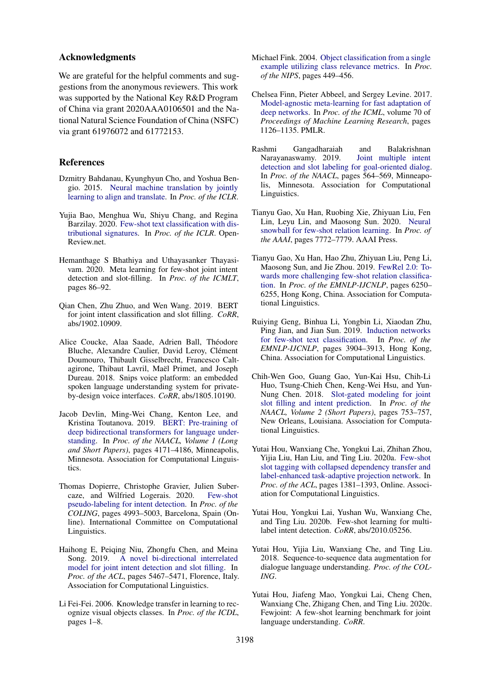### Acknowledgments

We are grateful for the helpful comments and suggestions from the anonymous reviewers. This work was supported by the National Key R&D Program of China via grant 2020AAA0106501 and the National Natural Science Foundation of China (NSFC) via grant 61976072 and 61772153.

## References

- <span id="page-8-4"></span>Dzmitry Bahdanau, Kyunghyun Cho, and Yoshua Bengio. 2015. [Neural machine translation by jointly](http://arxiv.org/abs/1409.0473) [learning to align and translate.](http://arxiv.org/abs/1409.0473) In *Proc. of the ICLR*.
- <span id="page-8-2"></span>Yujia Bao, Menghua Wu, Shiyu Chang, and Regina Barzilay. 2020. [Few-shot text classification with dis](https://openreview.net/forum?id=H1emfT4twB)[tributional signatures.](https://openreview.net/forum?id=H1emfT4twB) In *Proc. of the ICLR*. Open-Review.net.
- <span id="page-8-9"></span>Hemanthage S Bhathiya and Uthayasanker Thayasivam. 2020. Meta learning for few-shot joint intent detection and slot-filling. In *Proc. of the ICMLT*, pages 86–92.
- <span id="page-8-0"></span>Qian Chen, Zhu Zhuo, and Wen Wang. 2019. BERT for joint intent classification and slot filling. *CoRR*, abs/1902.10909.
- <span id="page-8-6"></span>Alice Coucke, Alaa Saade, Adrien Ball, Théodore Bluche, Alexandre Caulier, David Leroy, Clément Doumouro, Thibault Gisselbrecht, Francesco Caltagirone, Thibaut Lavril, Maël Primet, and Joseph Dureau. 2018. Snips voice platform: an embedded spoken language understanding system for privateby-design voice interfaces. *CoRR*, abs/1805.10190.
- <span id="page-8-3"></span>Jacob Devlin, Ming-Wei Chang, Kenton Lee, and Kristina Toutanova. 2019. [BERT: Pre-training of](https://doi.org/10.18653/v1/N19-1423) [deep bidirectional transformers for language under](https://doi.org/10.18653/v1/N19-1423)[standing.](https://doi.org/10.18653/v1/N19-1423) In *Proc. of the NAACL, Volume 1 (Long and Short Papers)*, pages 4171–4186, Minneapolis, Minnesota. Association for Computational Linguistics.
- <span id="page-8-16"></span>Thomas Dopierre, Christophe Gravier, Julien Subercaze, and Wilfried Logerais. 2020. [Few-shot](https://doi.org/10.18653/v1/2020.coling-main.438) [pseudo-labeling for intent detection.](https://doi.org/10.18653/v1/2020.coling-main.438) In *Proc. of the COLING*, pages 4993–5003, Barcelona, Spain (Online). International Committee on Computational Linguistics.
- <span id="page-8-18"></span>Haihong E, Peiqing Niu, Zhongfu Chen, and Meina Song. 2019. [A novel bi-directional interrelated](https://doi.org/10.18653/v1/P19-1544) [model for joint intent detection and slot filling.](https://doi.org/10.18653/v1/P19-1544) In *Proc. of the ACL*, pages 5467–5471, Florence, Italy. Association for Computational Linguistics.
- <span id="page-8-11"></span>Li Fei-Fei. 2006. Knowledge transfer in learning to recognize visual objects classes. In *Proc. of the ICDL*, pages 1–8.
- <span id="page-8-12"></span>Michael Fink. 2004. [Object classification from a single](https://proceedings.neurips.cc/paper/2004/hash/ef1e491a766ce3127556063d49bc2f98-Abstract.html) [example utilizing class relevance metrics.](https://proceedings.neurips.cc/paper/2004/hash/ef1e491a766ce3127556063d49bc2f98-Abstract.html) In *Proc. of the NIPS*, pages 449–456.
- <span id="page-8-8"></span>Chelsea Finn, Pieter Abbeel, and Sergey Levine. 2017. [Model-agnostic meta-learning for fast adaptation of](http://proceedings.mlr.press/v70/finn17a.html) [deep networks.](http://proceedings.mlr.press/v70/finn17a.html) In *Proc. of the ICML*, volume 70 of *Proceedings of Machine Learning Research*, pages 1126–1135. PMLR.
- <span id="page-8-19"></span>Rashmi Gangadharaiah and Balakrishnan Narayanaswamy. 2019. [Joint multiple intent](https://doi.org/10.18653/v1/N19-1055) [detection and slot labeling for goal-oriented dialog.](https://doi.org/10.18653/v1/N19-1055) In *Proc. of the NAACL*, pages 564–569, Minneapolis, Minnesota. Association for Computational Linguistics.
- <span id="page-8-14"></span>Tianyu Gao, Xu Han, Ruobing Xie, Zhiyuan Liu, Fen Lin, Leyu Lin, and Maosong Sun. 2020. [Neural](https://aaai.org/ojs/index.php/AAAI/article/view/6281) [snowball for few-shot relation learning.](https://aaai.org/ojs/index.php/AAAI/article/view/6281) In *Proc. of the AAAI*, pages 7772–7779. AAAI Press.
- <span id="page-8-10"></span>Tianyu Gao, Xu Han, Hao Zhu, Zhiyuan Liu, Peng Li, Maosong Sun, and Jie Zhou. 2019. [FewRel 2.0: To](https://doi.org/10.18653/v1/D19-1649)[wards more challenging few-shot relation classifica](https://doi.org/10.18653/v1/D19-1649)[tion.](https://doi.org/10.18653/v1/D19-1649) In *Proc. of the EMNLP-IJCNLP*, pages 6250– 6255, Hong Kong, China. Association for Computational Linguistics.
- <span id="page-8-13"></span>Ruiying Geng, Binhua Li, Yongbin Li, Xiaodan Zhu, Ping Jian, and Jian Sun. 2019. [Induction networks](https://doi.org/10.18653/v1/D19-1403) [for few-shot text classification.](https://doi.org/10.18653/v1/D19-1403) In *Proc. of the EMNLP-IJCNLP*, pages 3904–3913, Hong Kong, China. Association for Computational Linguistics.
- <span id="page-8-1"></span>Chih-Wen Goo, Guang Gao, Yun-Kai Hsu, Chih-Li Huo, Tsung-Chieh Chen, Keng-Wei Hsu, and Yun-Nung Chen. 2018. [Slot-gated modeling for joint](https://doi.org/10.18653/v1/N18-2118) [slot filling and intent prediction.](https://doi.org/10.18653/v1/N18-2118) In *Proc. of the NAACL, Volume 2 (Short Papers)*, pages 753–757, New Orleans, Louisiana. Association for Computational Linguistics.
- <span id="page-8-5"></span>Yutai Hou, Wanxiang Che, Yongkui Lai, Zhihan Zhou, Yijia Liu, Han Liu, and Ting Liu. 2020a. [Few-shot](https://doi.org/10.18653/v1/2020.acl-main.128) [slot tagging with collapsed dependency transfer and](https://doi.org/10.18653/v1/2020.acl-main.128) [label-enhanced task-adaptive projection network.](https://doi.org/10.18653/v1/2020.acl-main.128) In *Proc. of the ACL*, pages 1381–1393, Online. Association for Computational Linguistics.
- <span id="page-8-17"></span>Yutai Hou, Yongkui Lai, Yushan Wu, Wanxiang Che, and Ting Liu. 2020b. Few-shot learning for multilabel intent detection. *CoRR*, abs/2010.05256.
- <span id="page-8-15"></span>Yutai Hou, Yijia Liu, Wanxiang Che, and Ting Liu. 2018. Sequence-to-sequence data augmentation for dialogue language understanding. *Proc. of the COL-ING*.
- <span id="page-8-7"></span>Yutai Hou, Jiafeng Mao, Yongkui Lai, Cheng Chen, Wanxiang Che, Zhigang Chen, and Ting Liu. 2020c. Fewjoint: A few-shot learning benchmark for joint language understanding. *CoRR*.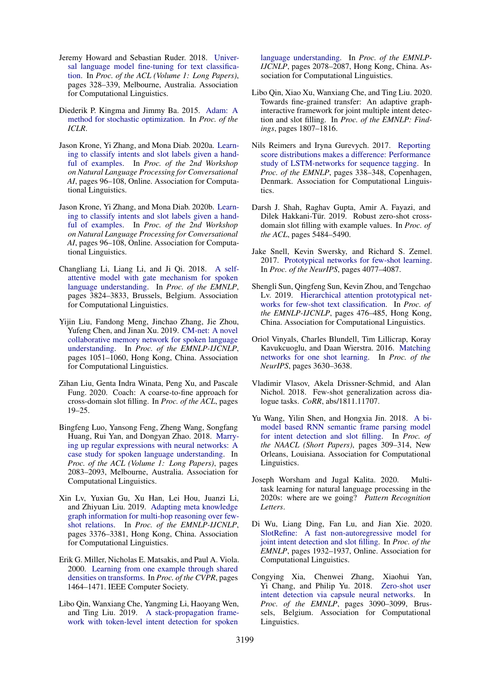- <span id="page-9-8"></span>Jeremy Howard and Sebastian Ruder. 2018. [Univer](https://doi.org/10.18653/v1/P18-1031)[sal language model fine-tuning for text classifica](https://doi.org/10.18653/v1/P18-1031)[tion.](https://doi.org/10.18653/v1/P18-1031) In *Proc. of the ACL (Volume 1: Long Papers)*, pages 328–339, Melbourne, Australia. Association for Computational Linguistics.
- <span id="page-9-7"></span>Diederik P. Kingma and Jimmy Ba. 2015. [Adam: A](http://arxiv.org/abs/1412.6980) [method for stochastic optimization.](http://arxiv.org/abs/1412.6980) In *Proc. of the ICLR*.
- <span id="page-9-5"></span>Jason Krone, Yi Zhang, and Mona Diab. 2020a. [Learn](https://doi.org/10.18653/v1/2020.nlp4convai-1.12)[ing to classify intents and slot labels given a hand](https://doi.org/10.18653/v1/2020.nlp4convai-1.12)[ful of examples.](https://doi.org/10.18653/v1/2020.nlp4convai-1.12) In *Proc. of the 2nd Workshop on Natural Language Processing for Conversational AI*, pages 96–108, Online. Association for Computational Linguistics.
- <span id="page-9-21"></span>Jason Krone, Yi Zhang, and Mona Diab. 2020b. [Learn](https://doi.org/10.18653/v1/2020.nlp4convai-1.12)[ing to classify intents and slot labels given a hand](https://doi.org/10.18653/v1/2020.nlp4convai-1.12)[ful of examples.](https://doi.org/10.18653/v1/2020.nlp4convai-1.12) In *Proc. of the 2nd Workshop on Natural Language Processing for Conversational AI*, pages 96–108, Online. Association for Computational Linguistics.
- <span id="page-9-16"></span>Changliang Li, Liang Li, and Ji Qi. 2018. [A self](https://doi.org/10.18653/v1/D18-1417)[attentive model with gate mechanism for spoken](https://doi.org/10.18653/v1/D18-1417) [language understanding.](https://doi.org/10.18653/v1/D18-1417) In *Proc. of the EMNLP*, pages 3824–3833, Brussels, Belgium. Association for Computational Linguistics.
- <span id="page-9-19"></span>Yijin Liu, Fandong Meng, Jinchao Zhang, Jie Zhou, Yufeng Chen, and Jinan Xu. 2019. [CM-net: A novel](https://doi.org/10.18653/v1/D19-1097) [collaborative memory network for spoken language](https://doi.org/10.18653/v1/D19-1097) [understanding.](https://doi.org/10.18653/v1/D19-1097) In *Proc. of the EMNLP-IJCNLP*, pages 1051–1060, Hong Kong, China. Association for Computational Linguistics.
- <span id="page-9-13"></span>Zihan Liu, Genta Indra Winata, Peng Xu, and Pascale Fung. 2020. Coach: A coarse-to-fine approach for cross-domain slot filling. In *Proc. of the ACL*, pages 19–25.
- <span id="page-9-11"></span>Bingfeng Luo, Yansong Feng, Zheng Wang, Songfang Huang, Rui Yan, and Dongyan Zhao. 2018. [Marry](https://doi.org/10.18653/v1/P18-1194)[ing up regular expressions with neural networks: A](https://doi.org/10.18653/v1/P18-1194) [case study for spoken language understanding.](https://doi.org/10.18653/v1/P18-1194) In *Proc. of the ACL (Volume 1: Long Papers)*, pages 2083–2093, Melbourne, Australia. Association for Computational Linguistics.
- <span id="page-9-10"></span>Xin Lv, Yuxian Gu, Xu Han, Lei Hou, Juanzi Li, and Zhiyuan Liu. 2019. [Adapting meta knowledge](https://doi.org/10.18653/v1/D19-1334) [graph information for multi-hop reasoning over few](https://doi.org/10.18653/v1/D19-1334)[shot relations.](https://doi.org/10.18653/v1/D19-1334) In *Proc. of the EMNLP-IJCNLP*, pages 3376–3381, Hong Kong, China. Association for Computational Linguistics.
- <span id="page-9-0"></span>Erik G. Miller, Nicholas E. Matsakis, and Paul A. Viola. 2000. [Learning from one example through shared](https://doi.org/10.1109/CVPR.2000.855856) [densities on transforms.](https://doi.org/10.1109/CVPR.2000.855856) In *Proc. of the CVPR*, pages 1464–1471. IEEE Computer Society.
- <span id="page-9-3"></span>Libo Qin, Wanxiang Che, Yangming Li, Haoyang Wen, and Ting Liu. 2019. [A stack-propagation frame](https://doi.org/10.18653/v1/D19-1214)[work with token-level intent detection for spoken](https://doi.org/10.18653/v1/D19-1214)

[language understanding.](https://doi.org/10.18653/v1/D19-1214) In *Proc. of the EMNLP-IJCNLP*, pages 2078–2087, Hong Kong, China. Association for Computational Linguistics.

- <span id="page-9-20"></span>Libo Qin, Xiao Xu, Wanxiang Che, and Ting Liu. 2020. Towards fine-grained transfer: An adaptive graphinteractive framework for joint multiple intent detection and slot filling. In *Proc. of the EMNLP: Findings*, pages 1807–1816.
- <span id="page-9-6"></span>Nils Reimers and Iryna Gurevych. 2017. [Reporting](https://doi.org/10.18653/v1/D17-1035) [score distributions makes a difference: Performance](https://doi.org/10.18653/v1/D17-1035) [study of LSTM-networks for sequence tagging.](https://doi.org/10.18653/v1/D17-1035) In *Proc. of the EMNLP*, pages 338–348, Copenhagen, Denmark. Association for Computational Linguistics.
- <span id="page-9-12"></span>Darsh J. Shah, Raghav Gupta, Amir A. Fayazi, and Dilek Hakkani-Tür. 2019. Robust zero-shot crossdomain slot filling with example values. In *Proc. of the ACL*, pages 5484–5490.
- <span id="page-9-4"></span>Jake Snell, Kevin Swersky, and Richard S. Zemel. 2017. [Prototypical networks for few-shot learning.](https://proceedings.neurips.cc/paper/2017/hash/cb8da6767461f2812ae4290eac7cbc42-Abstract.html) In *Proc. of the NeurIPS*, pages 4077–4087.
- <span id="page-9-9"></span>Shengli Sun, Qingfeng Sun, Kevin Zhou, and Tengchao Lv. 2019. [Hierarchical attention prototypical net](https://doi.org/10.18653/v1/D19-1045)[works for few-shot text classification.](https://doi.org/10.18653/v1/D19-1045) In *Proc. of the EMNLP-IJCNLP*, pages 476–485, Hong Kong, China. Association for Computational Linguistics.
- <span id="page-9-1"></span>Oriol Vinyals, Charles Blundell, Tim Lillicrap, Koray Kavukcuoglu, and Daan Wierstra. 2016. [Matching](https://proceedings.neurips.cc/paper/2016/hash/90e1357833654983612fb05e3ec9148c-Abstract.html) [networks for one shot learning.](https://proceedings.neurips.cc/paper/2016/hash/90e1357833654983612fb05e3ec9148c-Abstract.html) In *Proc. of the NeurIPS*, pages 3630–3638.
- <span id="page-9-14"></span>Vladimir Vlasov, Akela Drissner-Schmid, and Alan Nichol. 2018. Few-shot generalization across dialogue tasks. *CoRR*, abs/1811.11707.
- <span id="page-9-17"></span>Yu Wang, Yilin Shen, and Hongxia Jin. 2018. [A bi](https://doi.org/10.18653/v1/N18-2050)[model based RNN semantic frame parsing model](https://doi.org/10.18653/v1/N18-2050) [for intent detection and slot filling.](https://doi.org/10.18653/v1/N18-2050) In *Proc. of the NAACL (Short Papers)*, pages 309–314, New Orleans, Louisiana. Association for Computational Linguistics.
- <span id="page-9-2"></span>Joseph Worsham and Jugal Kalita. 2020. Multitask learning for natural language processing in the 2020s: where are we going? *Pattern Recognition Letters*.
- <span id="page-9-18"></span>Di Wu, Liang Ding, Fan Lu, and Jian Xie. 2020. [SlotRefine: A fast non-autoregressive model for](https://doi.org/10.18653/v1/2020.emnlp-main.152) [joint intent detection and slot filling.](https://doi.org/10.18653/v1/2020.emnlp-main.152) In *Proc. of the EMNLP*, pages 1932–1937, Online. Association for Computational Linguistics.
- <span id="page-9-15"></span>Congying Xia, Chenwei Zhang, Xiaohui Yan, Yi Chang, and Philip Yu. 2018. [Zero-shot user](https://doi.org/10.18653/v1/D18-1348) [intent detection via capsule neural networks.](https://doi.org/10.18653/v1/D18-1348) In *Proc. of the EMNLP*, pages 3090–3099, Brussels, Belgium. Association for Computational Linguistics.